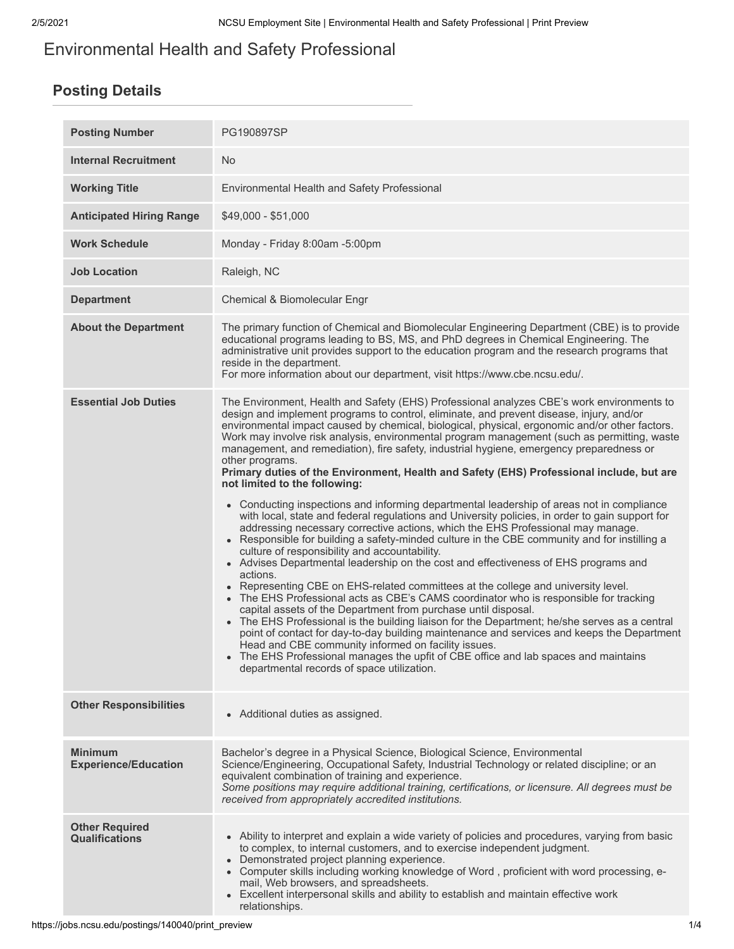# Environmental Health and Safety Professional

# **Posting Details**

| <b>Posting Number</b>                          | PG190897SP                                                                                                                                                                                                                                                                                                                                                                                                                                                                                                                                                                                                                                                                                                                                                                                                                                                                                                                                                                                                                                                                                                                                                                                                                                                                                                                                                                                                                                                                                                               |
|------------------------------------------------|--------------------------------------------------------------------------------------------------------------------------------------------------------------------------------------------------------------------------------------------------------------------------------------------------------------------------------------------------------------------------------------------------------------------------------------------------------------------------------------------------------------------------------------------------------------------------------------------------------------------------------------------------------------------------------------------------------------------------------------------------------------------------------------------------------------------------------------------------------------------------------------------------------------------------------------------------------------------------------------------------------------------------------------------------------------------------------------------------------------------------------------------------------------------------------------------------------------------------------------------------------------------------------------------------------------------------------------------------------------------------------------------------------------------------------------------------------------------------------------------------------------------------|
| <b>Internal Recruitment</b>                    | No.                                                                                                                                                                                                                                                                                                                                                                                                                                                                                                                                                                                                                                                                                                                                                                                                                                                                                                                                                                                                                                                                                                                                                                                                                                                                                                                                                                                                                                                                                                                      |
| <b>Working Title</b>                           | Environmental Health and Safety Professional                                                                                                                                                                                                                                                                                                                                                                                                                                                                                                                                                                                                                                                                                                                                                                                                                                                                                                                                                                                                                                                                                                                                                                                                                                                                                                                                                                                                                                                                             |
| <b>Anticipated Hiring Range</b>                | $$49,000 - $51,000$                                                                                                                                                                                                                                                                                                                                                                                                                                                                                                                                                                                                                                                                                                                                                                                                                                                                                                                                                                                                                                                                                                                                                                                                                                                                                                                                                                                                                                                                                                      |
| <b>Work Schedule</b>                           | Monday - Friday 8:00am -5:00pm                                                                                                                                                                                                                                                                                                                                                                                                                                                                                                                                                                                                                                                                                                                                                                                                                                                                                                                                                                                                                                                                                                                                                                                                                                                                                                                                                                                                                                                                                           |
| <b>Job Location</b>                            | Raleigh, NC                                                                                                                                                                                                                                                                                                                                                                                                                                                                                                                                                                                                                                                                                                                                                                                                                                                                                                                                                                                                                                                                                                                                                                                                                                                                                                                                                                                                                                                                                                              |
| <b>Department</b>                              | Chemical & Biomolecular Engr                                                                                                                                                                                                                                                                                                                                                                                                                                                                                                                                                                                                                                                                                                                                                                                                                                                                                                                                                                                                                                                                                                                                                                                                                                                                                                                                                                                                                                                                                             |
| <b>About the Department</b>                    | The primary function of Chemical and Biomolecular Engineering Department (CBE) is to provide<br>educational programs leading to BS, MS, and PhD degrees in Chemical Engineering. The<br>administrative unit provides support to the education program and the research programs that<br>reside in the department.<br>For more information about our department, visit https://www.cbe.ncsu.edu/.                                                                                                                                                                                                                                                                                                                                                                                                                                                                                                                                                                                                                                                                                                                                                                                                                                                                                                                                                                                                                                                                                                                         |
| <b>Essential Job Duties</b>                    | The Environment, Health and Safety (EHS) Professional analyzes CBE's work environments to<br>design and implement programs to control, eliminate, and prevent disease, injury, and/or<br>environmental impact caused by chemical, biological, physical, ergonomic and/or other factors.<br>Work may involve risk analysis, environmental program management (such as permitting, waste<br>management, and remediation), fire safety, industrial hygiene, emergency preparedness or<br>other programs.<br>Primary duties of the Environment, Health and Safety (EHS) Professional include, but are<br>not limited to the following:<br>• Conducting inspections and informing departmental leadership of areas not in compliance<br>with local, state and federal regulations and University policies, in order to gain support for<br>addressing necessary corrective actions, which the EHS Professional may manage.<br>• Responsible for building a safety-minded culture in the CBE community and for instilling a<br>culture of responsibility and accountability.<br>• Advises Departmental leadership on the cost and effectiveness of EHS programs and<br>actions.<br>Representing CBE on EHS-related committees at the college and university level.<br>• The EHS Professional acts as CBE's CAMS coordinator who is responsible for tracking<br>capital assets of the Department from purchase until disposal.<br>• The EHS Professional is the building liaison for the Department; he/she serves as a central |
|                                                | point of contact for day-to-day building maintenance and services and keeps the Department<br>Head and CBE community informed on facility issues.<br>The EHS Professional manages the upfit of CBE office and lab spaces and maintains<br>departmental records of space utilization.                                                                                                                                                                                                                                                                                                                                                                                                                                                                                                                                                                                                                                                                                                                                                                                                                                                                                                                                                                                                                                                                                                                                                                                                                                     |
| <b>Other Responsibilities</b>                  | • Additional duties as assigned.                                                                                                                                                                                                                                                                                                                                                                                                                                                                                                                                                                                                                                                                                                                                                                                                                                                                                                                                                                                                                                                                                                                                                                                                                                                                                                                                                                                                                                                                                         |
| <b>Minimum</b><br><b>Experience/Education</b>  | Bachelor's degree in a Physical Science, Biological Science, Environmental<br>Science/Engineering, Occupational Safety, Industrial Technology or related discipline; or an<br>equivalent combination of training and experience.<br>Some positions may require additional training, certifications, or licensure. All degrees must be<br>received from appropriately accredited institutions.                                                                                                                                                                                                                                                                                                                                                                                                                                                                                                                                                                                                                                                                                                                                                                                                                                                                                                                                                                                                                                                                                                                            |
| <b>Other Required</b><br><b>Qualifications</b> | • Ability to interpret and explain a wide variety of policies and procedures, varying from basic<br>to complex, to internal customers, and to exercise independent judgment.<br>Demonstrated project planning experience.<br>• Computer skills including working knowledge of Word, proficient with word processing, e-<br>mail, Web browsers, and spreadsheets.<br>• Excellent interpersonal skills and ability to establish and maintain effective work<br>relationships.                                                                                                                                                                                                                                                                                                                                                                                                                                                                                                                                                                                                                                                                                                                                                                                                                                                                                                                                                                                                                                              |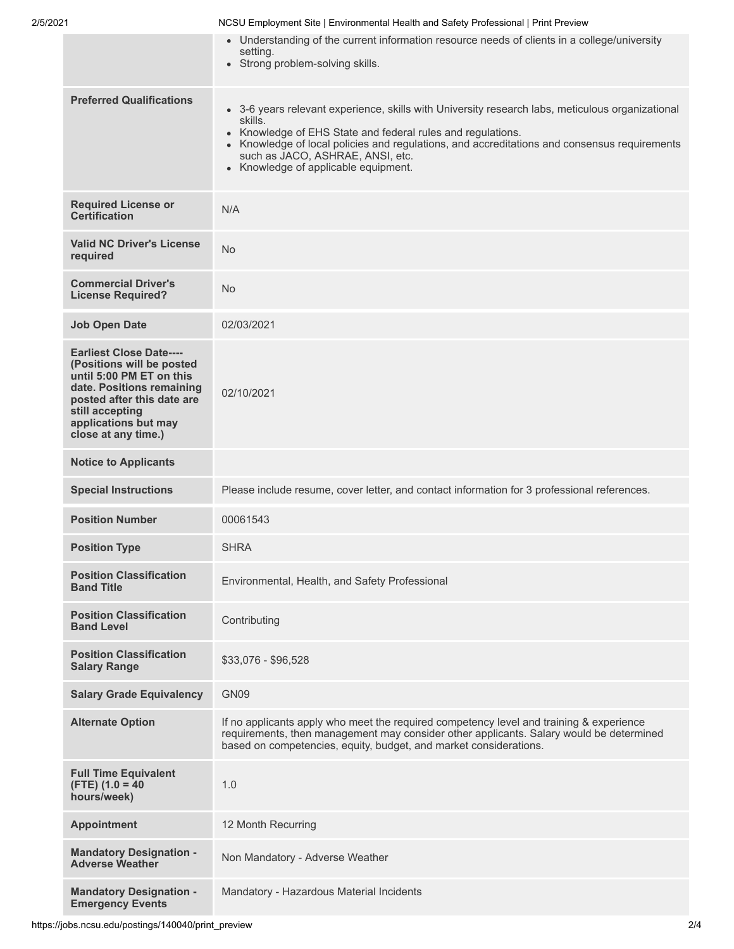| 2/5/2021 | NCSU Employment Site   Environmental Health and Safety Professional   Print Preview |  |
|----------|-------------------------------------------------------------------------------------|--|
|          |                                                                                     |  |

|                                                                                                                                                                                                                      | • Understanding of the current information resource needs of clients in a college/university<br>setting.<br>• Strong problem-solving skills.                                                                                                                                                                                                                  |
|----------------------------------------------------------------------------------------------------------------------------------------------------------------------------------------------------------------------|---------------------------------------------------------------------------------------------------------------------------------------------------------------------------------------------------------------------------------------------------------------------------------------------------------------------------------------------------------------|
| <b>Preferred Qualifications</b>                                                                                                                                                                                      | • 3-6 years relevant experience, skills with University research labs, meticulous organizational<br>skills.<br>Knowledge of EHS State and federal rules and regulations.<br>Knowledge of local policies and regulations, and accreditations and consensus requirements<br>such as JACO, ASHRAE, ANSI, etc.<br>Knowledge of applicable equipment.<br>$\bullet$ |
| <b>Required License or</b><br><b>Certification</b>                                                                                                                                                                   | N/A                                                                                                                                                                                                                                                                                                                                                           |
| <b>Valid NC Driver's License</b><br>required                                                                                                                                                                         | No                                                                                                                                                                                                                                                                                                                                                            |
| <b>Commercial Driver's</b><br><b>License Required?</b>                                                                                                                                                               | No                                                                                                                                                                                                                                                                                                                                                            |
| <b>Job Open Date</b>                                                                                                                                                                                                 | 02/03/2021                                                                                                                                                                                                                                                                                                                                                    |
| <b>Earliest Close Date----</b><br>(Positions will be posted<br>until 5:00 PM ET on this<br>date. Positions remaining<br>posted after this date are<br>still accepting<br>applications but may<br>close at any time.) | 02/10/2021                                                                                                                                                                                                                                                                                                                                                    |
| <b>Notice to Applicants</b>                                                                                                                                                                                          |                                                                                                                                                                                                                                                                                                                                                               |
| <b>Special Instructions</b>                                                                                                                                                                                          | Please include resume, cover letter, and contact information for 3 professional references.                                                                                                                                                                                                                                                                   |
| <b>Position Number</b>                                                                                                                                                                                               | 00061543                                                                                                                                                                                                                                                                                                                                                      |
| <b>Position Type</b>                                                                                                                                                                                                 | <b>SHRA</b>                                                                                                                                                                                                                                                                                                                                                   |
| <b>Position Classification</b><br><b>Band Title</b>                                                                                                                                                                  | Environmental, Health, and Safety Professional                                                                                                                                                                                                                                                                                                                |
| <b>Position Classification</b><br><b>Band Level</b>                                                                                                                                                                  | Contributing                                                                                                                                                                                                                                                                                                                                                  |
| <b>Position Classification</b><br><b>Salary Range</b>                                                                                                                                                                | \$33,076 - \$96,528                                                                                                                                                                                                                                                                                                                                           |
| <b>Salary Grade Equivalency</b>                                                                                                                                                                                      | GN09                                                                                                                                                                                                                                                                                                                                                          |
| <b>Alternate Option</b>                                                                                                                                                                                              | If no applicants apply who meet the required competency level and training & experience<br>requirements, then management may consider other applicants. Salary would be determined<br>based on competencies, equity, budget, and market considerations.                                                                                                       |
| <b>Full Time Equivalent</b><br>$(FTE)$ (1.0 = 40<br>hours/week)                                                                                                                                                      | 1.0                                                                                                                                                                                                                                                                                                                                                           |
| <b>Appointment</b>                                                                                                                                                                                                   | 12 Month Recurring                                                                                                                                                                                                                                                                                                                                            |
| <b>Mandatory Designation -</b><br><b>Adverse Weather</b>                                                                                                                                                             | Non Mandatory - Adverse Weather                                                                                                                                                                                                                                                                                                                               |
| <b>Mandatory Designation -</b><br><b>Emergency Events</b>                                                                                                                                                            | Mandatory - Hazardous Material Incidents                                                                                                                                                                                                                                                                                                                      |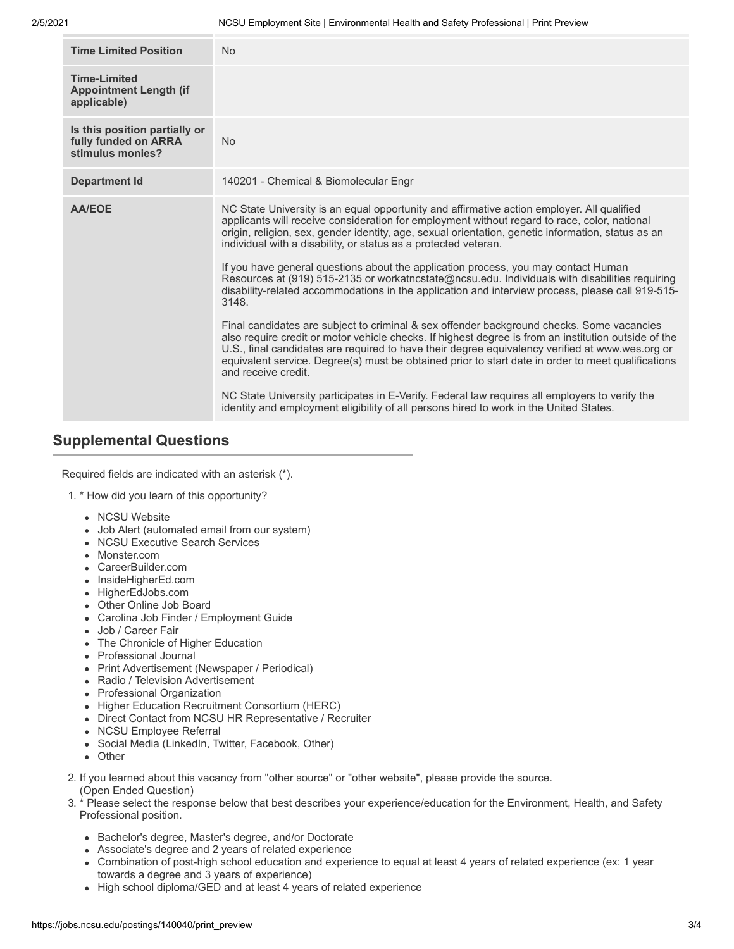| <b>Time Limited Position</b>                                              | <b>No</b>                                                                                                                                                                                                                                                                                                                                                                                                                                                                                                                                                                                                                                                                                                                                                                                                                                                                                                                                                                                                                                                                                                     |
|---------------------------------------------------------------------------|---------------------------------------------------------------------------------------------------------------------------------------------------------------------------------------------------------------------------------------------------------------------------------------------------------------------------------------------------------------------------------------------------------------------------------------------------------------------------------------------------------------------------------------------------------------------------------------------------------------------------------------------------------------------------------------------------------------------------------------------------------------------------------------------------------------------------------------------------------------------------------------------------------------------------------------------------------------------------------------------------------------------------------------------------------------------------------------------------------------|
| <b>Time-I imited</b><br><b>Appointment Length (if</b><br>applicable)      |                                                                                                                                                                                                                                                                                                                                                                                                                                                                                                                                                                                                                                                                                                                                                                                                                                                                                                                                                                                                                                                                                                               |
| Is this position partially or<br>fully funded on ARRA<br>stimulus monies? | <b>No</b>                                                                                                                                                                                                                                                                                                                                                                                                                                                                                                                                                                                                                                                                                                                                                                                                                                                                                                                                                                                                                                                                                                     |
| <b>Department Id</b>                                                      | 140201 - Chemical & Biomolecular Engr                                                                                                                                                                                                                                                                                                                                                                                                                                                                                                                                                                                                                                                                                                                                                                                                                                                                                                                                                                                                                                                                         |
| <b>AA/EOE</b>                                                             | NC State University is an equal opportunity and affirmative action employer. All qualified<br>applicants will receive consideration for employment without regard to race, color, national<br>origin, religion, sex, gender identity, age, sexual orientation, genetic information, status as an<br>individual with a disability, or status as a protected veteran.<br>If you have general questions about the application process, you may contact Human<br>Resources at (919) 515-2135 or workatncstate@ncsu.edu. Individuals with disabilities requiring<br>disability-related accommodations in the application and interview process, please call 919-515-<br>3148.<br>Final candidates are subject to criminal & sex offender background checks. Some vacancies<br>also require credit or motor vehicle checks. If highest degree is from an institution outside of the<br>U.S., final candidates are required to have their degree equivalency verified at www.wes.org or<br>equivalent service. Degree(s) must be obtained prior to start date in order to meet qualifications<br>and receive credit. |
|                                                                           | NC State University participates in E-Verify. Federal law requires all employers to verify the<br>identity and employment eligibility of all persons hired to work in the United States.                                                                                                                                                                                                                                                                                                                                                                                                                                                                                                                                                                                                                                                                                                                                                                                                                                                                                                                      |

## **Supplemental Questions**

Required fields are indicated with an asterisk (\*).

- 1. \* How did you learn of this opportunity?
	- NCSU Website
	- Job Alert (automated email from our system)
	- NCSU Executive Search Services
	- Monster.com
	- CareerBuilder.com
	- InsideHigherEd.com
	- HigherEdJobs.com
	- Other Online Job Board
	- Carolina Job Finder / Employment Guide
	- Job / Career Fair
	- The Chronicle of Higher Education
	- Professional Journal
	- Print Advertisement (Newspaper / Periodical)
	- Radio / Television Advertisement
	- Professional Organization
	- Higher Education Recruitment Consortium (HERC)
	- Direct Contact from NCSU HR Representative / Recruiter
	- NCSU Employee Referral
	- Social Media (LinkedIn, Twitter, Facebook, Other)
	- Other
- 2. If you learned about this vacancy from "other source" or "other website", please provide the source. (Open Ended Question)
- 3. \* Please select the response below that best describes your experience/education for the Environment, Health, and Safety Professional position.
	- Bachelor's degree, Master's degree, and/or Doctorate
	- Associate's degree and 2 years of related experience
	- Combination of post-high school education and experience to equal at least 4 years of related experience (ex: 1 year towards a degree and 3 years of experience)
	- High school diploma/GED and at least 4 years of related experience